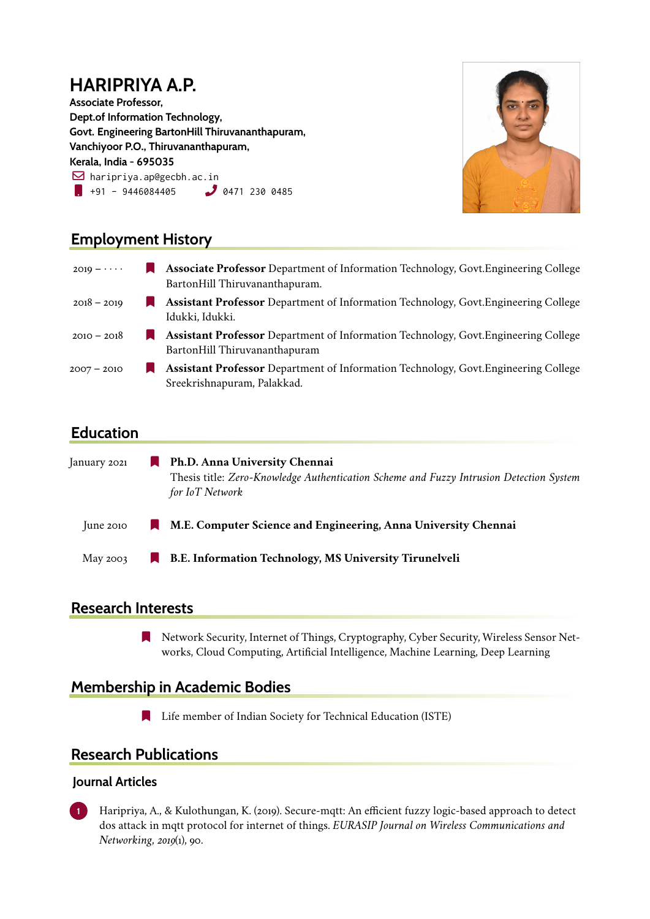# **HARIPRIYA A.P.**

**Associate Professor, Dept.of Information Technology, Govt. Engineering BartonHill Thiruvananthapuram, Vanchiyoor P.O., Thiruvananthapuram, Kerala, India - 695035**  $\boxdot$  haripriya.ap@gecbh.ac.in  $\blacksquare$  +91 - 9446084405  $\blacksquare$  0471 230 0485



### **Employment History**

| $2019 - \cdots$ | <b>Associate Professor</b> Department of Information Technology, Govt. Engineering College<br>BartonHill Thiruvananthapuram. |
|-----------------|------------------------------------------------------------------------------------------------------------------------------|
| $2018 - 2019$   | <b>Assistant Professor</b> Department of Information Technology, Govt. Engineering College<br>Idukki, Idukki.                |
| $2010 - 2018$   | <b>Assistant Professor</b> Department of Information Technology, Govt. Engineering College<br>BartonHill Thiruvananthapuram  |
| $2007 - 2010$   | <b>Assistant Professor</b> Department of Information Technology, Govt. Engineering College<br>Sreekrishnapuram, Palakkad.    |

### **Education**

| January 2021  | ш  | Ph.D. Anna University Chennai                                                                              |
|---------------|----|------------------------------------------------------------------------------------------------------------|
|               |    | Thesis title: Zero-Knowledge Authentication Scheme and Fuzzy Intrusion Detection System<br>for IoT Network |
| $\mu$ ne 2010 | M. | M.E. Computer Science and Engineering, Anna University Chennai                                             |
| May 2003      | D. | B.E. Information Technology, MS University Tirunelveli                                                     |

### **Research Interests**

[ Network Security, Internet of Things, Cryptography, Cyber Security, Wireless Sensor Networks, Cloud Computing, Artificial Intelligence, Machine Learning, Deep Learning

### **Membership in Academic Bodies**

**Example 1** Life member of Indian Society for Technical Education (ISTE)

### **Research Publications**

#### **Journal Articles**

**1** Haripriya, A., & Kulothungan, K. (2019). Secure-mqtt: An efficient fuzzy logic-based approach to detect dos attack in mqtt protocol for internet of things. *EURASIP Journal on Wireless Communications and Networking*, *2019*(1), 90.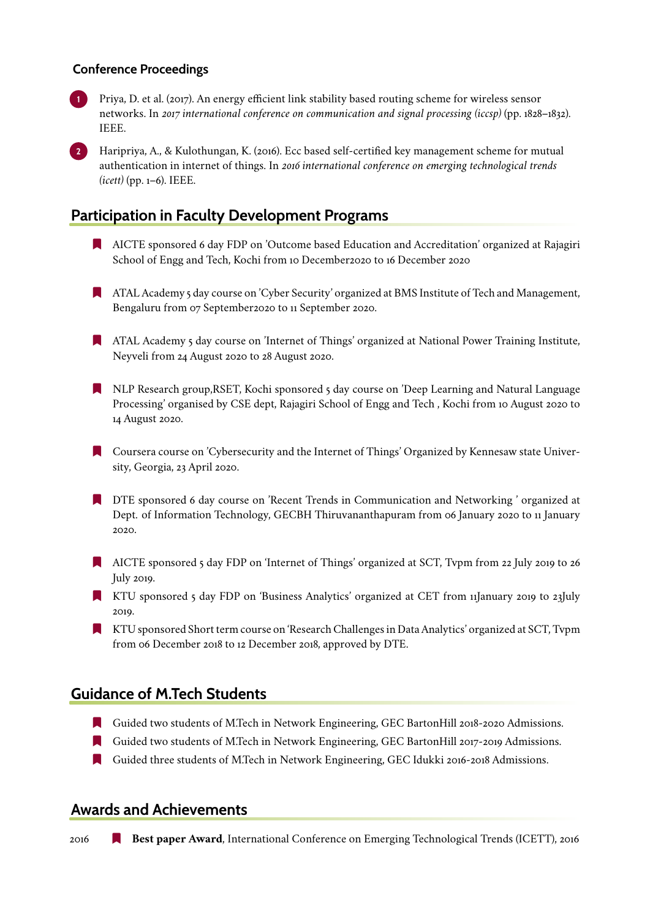#### **Conference Proceedings**

**1** Priya, D. et al. (2017). An energy efficient link stability based routing scheme for wireless sensor networks. In *2017 international conference on communication and signal processing (iccsp)* (pp. 1828–1832). IEEE.

**2** Haripriya, A., & Kulothungan, K. (2016). Ecc based self-certified key management scheme for mutual authentication in internet of things. In *2016 international conference on emerging technological trends (icett)* (pp. 1–6). IEEE.

### **Participation in Faculty Development Programs**

- [ AICTE sponsored 6 day FDP on 'Outcome based Education and Accreditation' organized at Rajagiri School of Engg and Tech, Kochi from 10 December2020 to 16 December 2020
- [ ATAL Academy 5 day course on 'Cyber Security' organized at BMS Institute of Tech and Management, Bengaluru from 07 September2020 to 11 September 2020.
- [ ATAL Academy 5 day course on 'Internet of Things' organized at National Power Training Institute, Neyveli from 24 August 2020 to 28 August 2020.
- [ NLP Research group,RSET, Kochi sponsored 5 day course on 'Deep Learning and Natural Language Processing' organised by CSE dept, Rajagiri School of Engg and Tech , Kochi from 10 August 2020 to 14 August 2020.
- [ Coursera course on 'Cybersecurity and the Internet of Things' Organized by Kennesaw state University, Georgia, 23 April 2020.
- **In** DTE sponsored 6 day course on 'Recent Trends in Communication and Networking ' organized at Dept. of Information Technology, GECBH Thiruvananthapuram from 06 January 2020 to 11 January 2020.
- [ AICTE sponsored 5 day FDP on 'Internet of Things' organized at SCT, Tvpm from 22 July 2019 to 26 July 2019.
- [ KTU sponsored 5 day FDP on 'Business Analytics' organized at CET from 11January 2019 to 23July 2019.
- [ KTU sponsored Short term course on 'Research Challenges in Data Analytics' organized at SCT, Tvpm from 06 December 2018 to 12 December 2018, approved by DTE.

### **Guidance of M.Tech Students**

- [ Guided two students of M.Tech in Network Engineering, GEC BartonHill 2018-2020 Admissions.
- [ Guided two students of M.Tech in Network Engineering, GEC BartonHill 2017-2019 Admissions.
- [ Guided three students of M.Tech in Network Engineering, GEC Idukki 2016-2018 Admissions.

#### **Awards and Achievements**

**2016 • Best paper Award**, International Conference on Emerging Technological Trends (ICETT), 2016